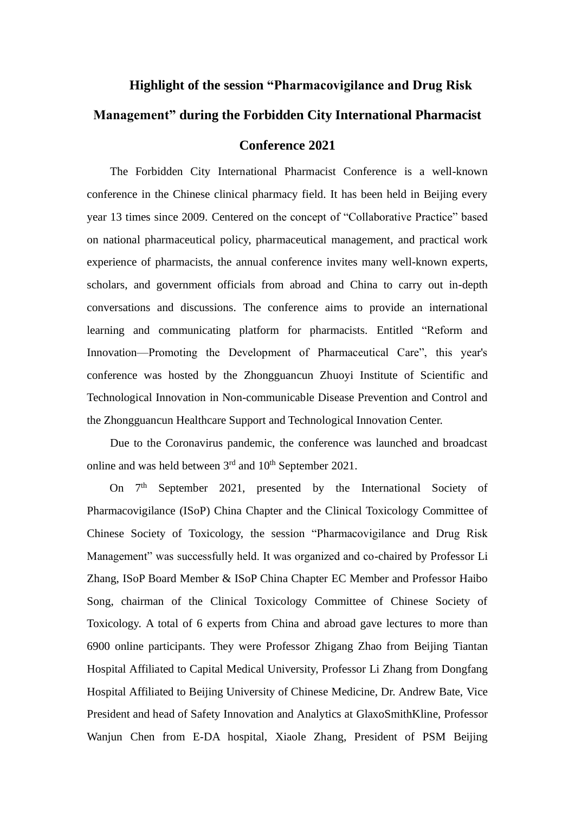## **Highlight of the session "Pharmacovigilance and Drug Risk Management" during the Forbidden City International Pharmacist**

## **Conference 2021**

The Forbidden City International Pharmacist Conference is a well-known conference in the Chinese clinical pharmacy field. It has been held in Beijing every year 13 times since 2009. Centered on the concept of "Collaborative Practice" based on national pharmaceutical policy, pharmaceutical management, and practical work experience of pharmacists, the annual conference invites many well-known experts, scholars, and government officials from abroad and China to carry out in-depth conversations and discussions. The conference aims to provide an international learning and communicating platform for pharmacists. Entitled "Reform and Innovation—Promoting the Development of Pharmaceutical Care", this year's conference was hosted by the Zhongguancun Zhuoyi Institute of Scientific and Technological Innovation in Non-communicable Disease Prevention and Control and the Zhongguancun Healthcare Support and Technological Innovation Center.

Due to the Coronavirus pandemic, the conference was launched and broadcast online and was held between  $3<sup>rd</sup>$  and  $10<sup>th</sup>$  September 2021.

On 7<sup>th</sup> September 2021, presented by the International Society of Pharmacovigilance (ISoP) China Chapter and the Clinical Toxicology Committee of Chinese Society of Toxicology, the session "Pharmacovigilance and Drug Risk Management" was successfully held. It was organized and co-chaired by Professor Li Zhang, ISoP Board Member & ISoP China Chapter EC Member and Professor Haibo Song, chairman of the Clinical Toxicology Committee of Chinese Society of Toxicology. A total of 6 experts from China and abroad gave lectures to more than 6900 online participants. They were Professor Zhigang Zhao from Beijing Tiantan Hospital Affiliated to Capital Medical University, Professor Li Zhang from Dongfang Hospital Affiliated to Beijing University of Chinese Medicine, Dr. Andrew Bate, Vice President and head of Safety Innovation and Analytics at GlaxoSmithKline, Professor Wanjun Chen from E-DA hospital, Xiaole Zhang, President of PSM Beijing